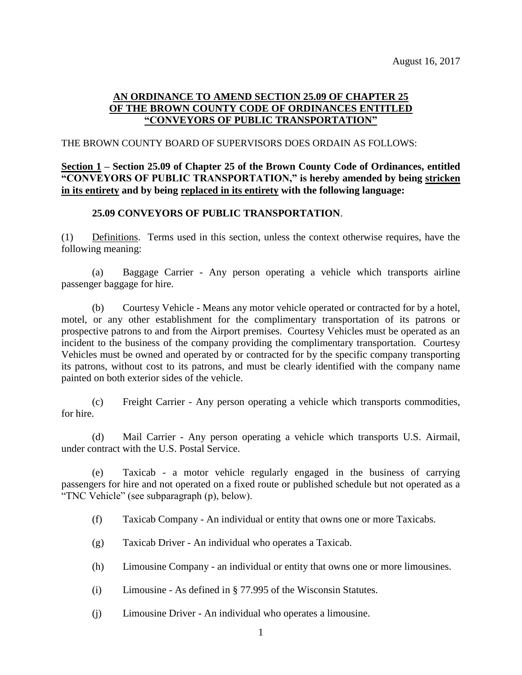## **AN ORDINANCE TO AMEND SECTION 25.09 OF CHAPTER 25 OF THE BROWN COUNTY CODE OF ORDINANCES ENTITLED "CONVEYORS OF PUBLIC TRANSPORTATION"**

#### THE BROWN COUNTY BOARD OF SUPERVISORS DOES ORDAIN AS FOLLOWS:

# **Section 1 – Section 25.09 of Chapter 25 of the Brown County Code of Ordinances, entitled "CONVEYORS OF PUBLIC TRANSPORTATION," is hereby amended by being stricken in its entirety and by being replaced in its entirety with the following language:**

### **25.09 CONVEYORS OF PUBLIC TRANSPORTATION**.

(1) Definitions. Terms used in this section, unless the context otherwise requires, have the following meaning:

(a) Baggage Carrier - Any person operating a vehicle which transports airline passenger baggage for hire.

(b) Courtesy Vehicle - Means any motor vehicle operated or contracted for by a hotel, motel, or any other establishment for the complimentary transportation of its patrons or prospective patrons to and from the Airport premises. Courtesy Vehicles must be operated as an incident to the business of the company providing the complimentary transportation. Courtesy Vehicles must be owned and operated by or contracted for by the specific company transporting its patrons, without cost to its patrons, and must be clearly identified with the company name painted on both exterior sides of the vehicle.

(c) Freight Carrier - Any person operating a vehicle which transports commodities, for hire.

(d) Mail Carrier - Any person operating a vehicle which transports U.S. Airmail, under contract with the U.S. Postal Service.

(e) Taxicab - a motor vehicle regularly engaged in the business of carrying passengers for hire and not operated on a fixed route or published schedule but not operated as a "TNC Vehicle" (see subparagraph (p), below).

(f) Taxicab Company - An individual or entity that owns one or more Taxicabs.

- (g) Taxicab Driver An individual who operates a Taxicab.
- (h) Limousine Company an individual or entity that owns one or more limousines.
- (i) Limousine As defined in § 77.995 of the Wisconsin Statutes.
- (j) Limousine Driver An individual who operates a limousine.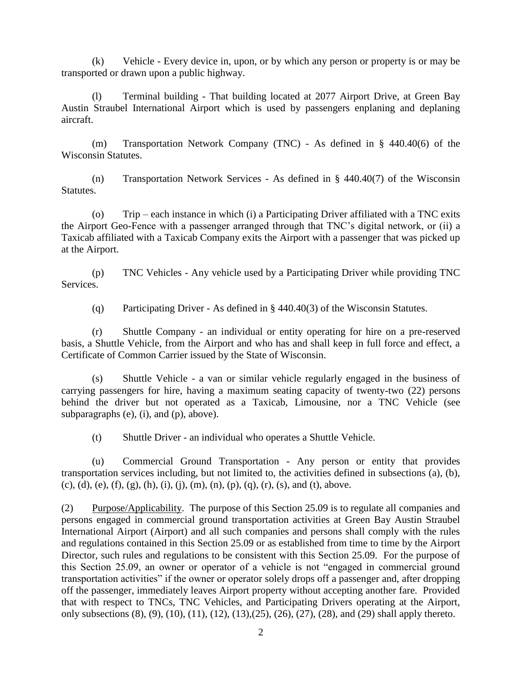(k) Vehicle - Every device in, upon, or by which any person or property is or may be transported or drawn upon a public highway.

(l) Terminal building - That building located at 2077 Airport Drive, at Green Bay Austin Straubel International Airport which is used by passengers enplaning and deplaning aircraft.

(m) Transportation Network Company (TNC) - As defined in § 440.40(6) of the Wisconsin Statutes.

(n) Transportation Network Services - As defined in § 440.40(7) of the Wisconsin Statutes.

(o) Trip – each instance in which (i) a Participating Driver affiliated with a TNC exits the Airport Geo-Fence with a passenger arranged through that TNC's digital network, or (ii) a Taxicab affiliated with a Taxicab Company exits the Airport with a passenger that was picked up at the Airport.

(p) TNC Vehicles - Any vehicle used by a Participating Driver while providing TNC Services.

(q) Participating Driver - As defined in § 440.40(3) of the Wisconsin Statutes.

(r) Shuttle Company - an individual or entity operating for hire on a pre-reserved basis, a Shuttle Vehicle, from the Airport and who has and shall keep in full force and effect, a Certificate of Common Carrier issued by the State of Wisconsin.

(s) Shuttle Vehicle - a van or similar vehicle regularly engaged in the business of carrying passengers for hire, having a maximum seating capacity of twenty-two (22) persons behind the driver but not operated as a Taxicab, Limousine, nor a TNC Vehicle (see subparagraphs (e), (i), and (p), above).

(t) Shuttle Driver - an individual who operates a Shuttle Vehicle.

(u) Commercial Ground Transportation - Any person or entity that provides transportation services including, but not limited to, the activities defined in subsections (a), (b), (c), (d), (e), (f), (g), (h), (i), (j), (m), (n), (p), (q), (r), (s), and (t), above.

(2) Purpose/Applicability. The purpose of this Section 25.09 is to regulate all companies and persons engaged in commercial ground transportation activities at Green Bay Austin Straubel International Airport (Airport) and all such companies and persons shall comply with the rules and regulations contained in this Section 25.09 or as established from time to time by the Airport Director, such rules and regulations to be consistent with this Section 25.09. For the purpose of this Section 25.09, an owner or operator of a vehicle is not "engaged in commercial ground transportation activities" if the owner or operator solely drops off a passenger and, after dropping off the passenger, immediately leaves Airport property without accepting another fare. Provided that with respect to TNCs, TNC Vehicles, and Participating Drivers operating at the Airport, only subsections (8), (9), (10), (11), (12), (13),(25), (26), (27), (28), and (29) shall apply thereto.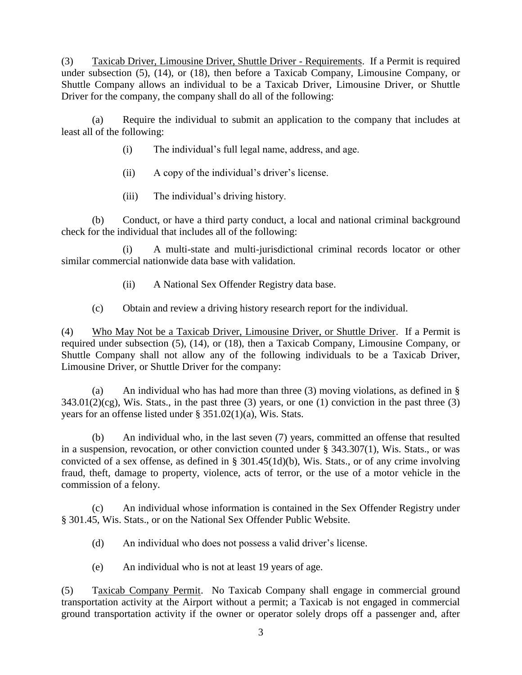(3) Taxicab Driver, Limousine Driver, Shuttle Driver - Requirements. If a Permit is required under subsection (5), (14), or (18), then before a Taxicab Company, Limousine Company, or Shuttle Company allows an individual to be a Taxicab Driver, Limousine Driver, or Shuttle Driver for the company, the company shall do all of the following:

(a) Require the individual to submit an application to the company that includes at least all of the following:

- (i) The individual's full legal name, address, and age.
- (ii) A copy of the individual's driver's license.
- (iii) The individual's driving history.

(b) Conduct, or have a third party conduct, a local and national criminal background check for the individual that includes all of the following:

(i) A multi-state and multi-jurisdictional criminal records locator or other similar commercial nationwide data base with validation.

- (ii) A National Sex Offender Registry data base.
- (c) Obtain and review a driving history research report for the individual.

(4) Who May Not be a Taxicab Driver, Limousine Driver, or Shuttle Driver. If a Permit is required under subsection (5), (14), or (18), then a Taxicab Company, Limousine Company, or Shuttle Company shall not allow any of the following individuals to be a Taxicab Driver, Limousine Driver, or Shuttle Driver for the company:

(a) An individual who has had more than three (3) moving violations, as defined in §  $343.01(2)(cg)$ , Wis. Stats., in the past three (3) years, or one (1) conviction in the past three (3) years for an offense listed under § 351.02(1)(a), Wis. Stats.

(b) An individual who, in the last seven (7) years, committed an offense that resulted in a suspension, revocation, or other conviction counted under § 343.307(1), Wis. Stats., or was convicted of a sex offense, as defined in § 301.45(1d)(b), Wis. Stats., or of any crime involving fraud, theft, damage to property, violence, acts of terror, or the use of a motor vehicle in the commission of a felony.

(c) An individual whose information is contained in the Sex Offender Registry under § 301.45, Wis. Stats., or on the National Sex Offender Public Website.

(d) An individual who does not possess a valid driver's license.

(e) An individual who is not at least 19 years of age.

(5) Taxicab Company Permit. No Taxicab Company shall engage in commercial ground transportation activity at the Airport without a permit; a Taxicab is not engaged in commercial ground transportation activity if the owner or operator solely drops off a passenger and, after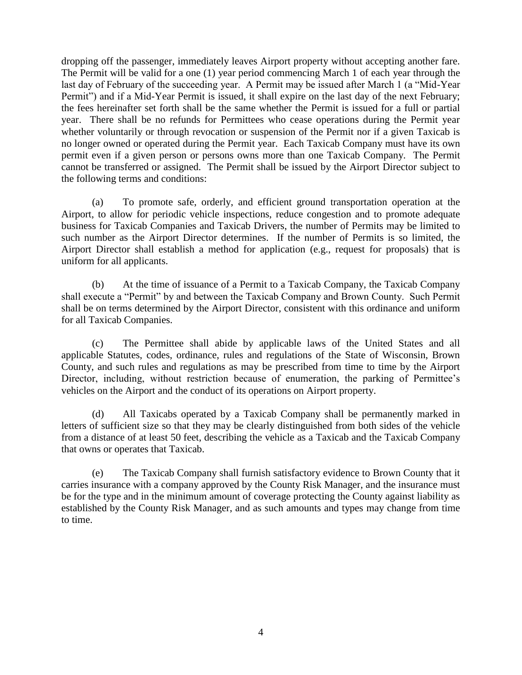dropping off the passenger, immediately leaves Airport property without accepting another fare. The Permit will be valid for a one (1) year period commencing March 1 of each year through the last day of February of the succeeding year. A Permit may be issued after March 1 (a "Mid-Year Permit") and if a Mid-Year Permit is issued, it shall expire on the last day of the next February; the fees hereinafter set forth shall be the same whether the Permit is issued for a full or partial year. There shall be no refunds for Permittees who cease operations during the Permit year whether voluntarily or through revocation or suspension of the Permit nor if a given Taxicab is no longer owned or operated during the Permit year. Each Taxicab Company must have its own permit even if a given person or persons owns more than one Taxicab Company. The Permit cannot be transferred or assigned. The Permit shall be issued by the Airport Director subject to the following terms and conditions:

(a) To promote safe, orderly, and efficient ground transportation operation at the Airport, to allow for periodic vehicle inspections, reduce congestion and to promote adequate business for Taxicab Companies and Taxicab Drivers, the number of Permits may be limited to such number as the Airport Director determines. If the number of Permits is so limited, the Airport Director shall establish a method for application (e.g., request for proposals) that is uniform for all applicants.

(b) At the time of issuance of a Permit to a Taxicab Company, the Taxicab Company shall execute a "Permit" by and between the Taxicab Company and Brown County. Such Permit shall be on terms determined by the Airport Director, consistent with this ordinance and uniform for all Taxicab Companies.

(c) The Permittee shall abide by applicable laws of the United States and all applicable Statutes, codes, ordinance, rules and regulations of the State of Wisconsin, Brown County, and such rules and regulations as may be prescribed from time to time by the Airport Director, including, without restriction because of enumeration, the parking of Permittee's vehicles on the Airport and the conduct of its operations on Airport property.

(d) All Taxicabs operated by a Taxicab Company shall be permanently marked in letters of sufficient size so that they may be clearly distinguished from both sides of the vehicle from a distance of at least 50 feet, describing the vehicle as a Taxicab and the Taxicab Company that owns or operates that Taxicab.

(e) The Taxicab Company shall furnish satisfactory evidence to Brown County that it carries insurance with a company approved by the County Risk Manager, and the insurance must be for the type and in the minimum amount of coverage protecting the County against liability as established by the County Risk Manager, and as such amounts and types may change from time to time.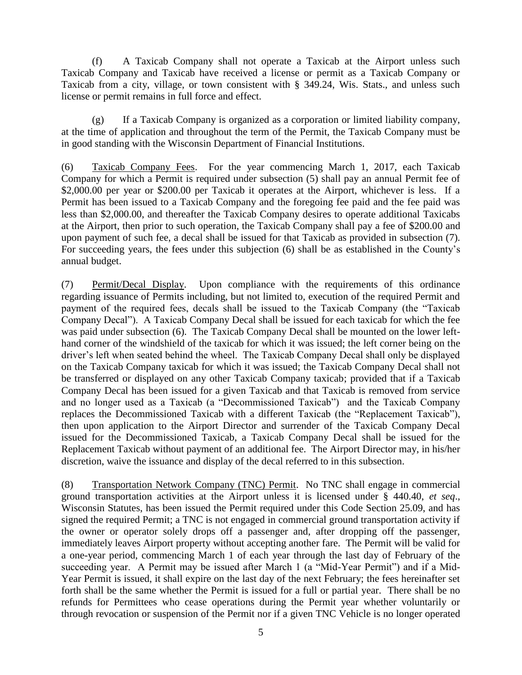(f) A Taxicab Company shall not operate a Taxicab at the Airport unless such Taxicab Company and Taxicab have received a license or permit as a Taxicab Company or Taxicab from a city, village, or town consistent with § 349.24, Wis. Stats., and unless such license or permit remains in full force and effect.

(g) If a Taxicab Company is organized as a corporation or limited liability company, at the time of application and throughout the term of the Permit, the Taxicab Company must be in good standing with the Wisconsin Department of Financial Institutions.

(6) Taxicab Company Fees. For the year commencing March 1, 2017, each Taxicab Company for which a Permit is required under subsection (5) shall pay an annual Permit fee of \$2,000.00 per year or \$200.00 per Taxicab it operates at the Airport, whichever is less. If a Permit has been issued to a Taxicab Company and the foregoing fee paid and the fee paid was less than \$2,000.00, and thereafter the Taxicab Company desires to operate additional Taxicabs at the Airport, then prior to such operation, the Taxicab Company shall pay a fee of \$200.00 and upon payment of such fee, a decal shall be issued for that Taxicab as provided in subsection (7). For succeeding years, the fees under this subjection (6) shall be as established in the County's annual budget.

(7) Permit/Decal Display. Upon compliance with the requirements of this ordinance regarding issuance of Permits including, but not limited to, execution of the required Permit and payment of the required fees, decals shall be issued to the Taxicab Company (the "Taxicab Company Decal"). A Taxicab Company Decal shall be issued for each taxicab for which the fee was paid under subsection (6). The Taxicab Company Decal shall be mounted on the lower lefthand corner of the windshield of the taxicab for which it was issued; the left corner being on the driver's left when seated behind the wheel. The Taxicab Company Decal shall only be displayed on the Taxicab Company taxicab for which it was issued; the Taxicab Company Decal shall not be transferred or displayed on any other Taxicab Company taxicab; provided that if a Taxicab Company Decal has been issued for a given Taxicab and that Taxicab is removed from service and no longer used as a Taxicab (a "Decommissioned Taxicab") and the Taxicab Company replaces the Decommissioned Taxicab with a different Taxicab (the "Replacement Taxicab"), then upon application to the Airport Director and surrender of the Taxicab Company Decal issued for the Decommissioned Taxicab, a Taxicab Company Decal shall be issued for the Replacement Taxicab without payment of an additional fee. The Airport Director may, in his/her discretion, waive the issuance and display of the decal referred to in this subsection.

(8) Transportation Network Company (TNC) Permit. No TNC shall engage in commercial ground transportation activities at the Airport unless it is licensed under § 440.40, *et seq*., Wisconsin Statutes, has been issued the Permit required under this Code Section 25.09, and has signed the required Permit; a TNC is not engaged in commercial ground transportation activity if the owner or operator solely drops off a passenger and, after dropping off the passenger, immediately leaves Airport property without accepting another fare. The Permit will be valid for a one-year period, commencing March 1 of each year through the last day of February of the succeeding year. A Permit may be issued after March 1 (a "Mid-Year Permit") and if a Mid-Year Permit is issued, it shall expire on the last day of the next February; the fees hereinafter set forth shall be the same whether the Permit is issued for a full or partial year. There shall be no refunds for Permittees who cease operations during the Permit year whether voluntarily or through revocation or suspension of the Permit nor if a given TNC Vehicle is no longer operated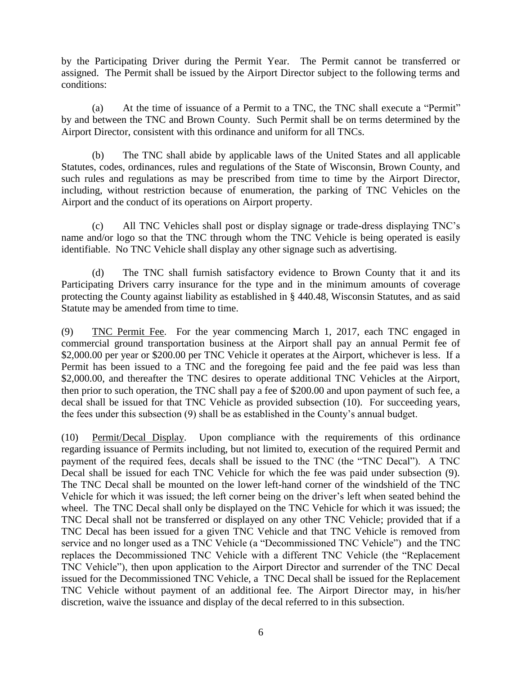by the Participating Driver during the Permit Year. The Permit cannot be transferred or assigned. The Permit shall be issued by the Airport Director subject to the following terms and conditions:

(a) At the time of issuance of a Permit to a TNC, the TNC shall execute a "Permit" by and between the TNC and Brown County. Such Permit shall be on terms determined by the Airport Director, consistent with this ordinance and uniform for all TNCs.

(b) The TNC shall abide by applicable laws of the United States and all applicable Statutes, codes, ordinances, rules and regulations of the State of Wisconsin, Brown County, and such rules and regulations as may be prescribed from time to time by the Airport Director, including, without restriction because of enumeration, the parking of TNC Vehicles on the Airport and the conduct of its operations on Airport property.

(c) All TNC Vehicles shall post or display signage or trade-dress displaying TNC's name and/or logo so that the TNC through whom the TNC Vehicle is being operated is easily identifiable. No TNC Vehicle shall display any other signage such as advertising.

(d) The TNC shall furnish satisfactory evidence to Brown County that it and its Participating Drivers carry insurance for the type and in the minimum amounts of coverage protecting the County against liability as established in § 440.48, Wisconsin Statutes, and as said Statute may be amended from time to time.

(9) TNC Permit Fee. For the year commencing March 1, 2017, each TNC engaged in commercial ground transportation business at the Airport shall pay an annual Permit fee of \$2,000.00 per year or \$200.00 per TNC Vehicle it operates at the Airport, whichever is less. If a Permit has been issued to a TNC and the foregoing fee paid and the fee paid was less than \$2,000.00, and thereafter the TNC desires to operate additional TNC Vehicles at the Airport, then prior to such operation, the TNC shall pay a fee of \$200.00 and upon payment of such fee, a decal shall be issued for that TNC Vehicle as provided subsection (10). For succeeding years, the fees under this subsection (9) shall be as established in the County's annual budget.

(10) Permit/Decal Display. Upon compliance with the requirements of this ordinance regarding issuance of Permits including, but not limited to, execution of the required Permit and payment of the required fees, decals shall be issued to the TNC (the "TNC Decal"). A TNC Decal shall be issued for each TNC Vehicle for which the fee was paid under subsection (9). The TNC Decal shall be mounted on the lower left-hand corner of the windshield of the TNC Vehicle for which it was issued; the left corner being on the driver's left when seated behind the wheel. The TNC Decal shall only be displayed on the TNC Vehicle for which it was issued; the TNC Decal shall not be transferred or displayed on any other TNC Vehicle; provided that if a TNC Decal has been issued for a given TNC Vehicle and that TNC Vehicle is removed from service and no longer used as a TNC Vehicle (a "Decommissioned TNC Vehicle") and the TNC replaces the Decommissioned TNC Vehicle with a different TNC Vehicle (the "Replacement TNC Vehicle"), then upon application to the Airport Director and surrender of the TNC Decal issued for the Decommissioned TNC Vehicle, a TNC Decal shall be issued for the Replacement TNC Vehicle without payment of an additional fee. The Airport Director may, in his/her discretion, waive the issuance and display of the decal referred to in this subsection.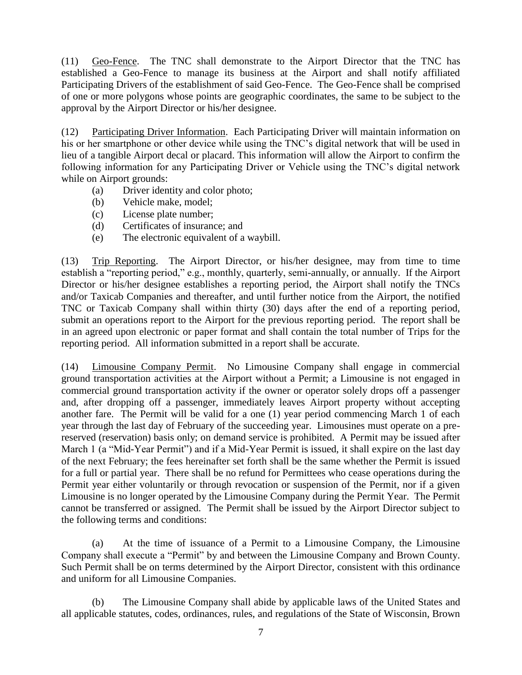(11) Geo-Fence. The TNC shall demonstrate to the Airport Director that the TNC has established a Geo-Fence to manage its business at the Airport and shall notify affiliated Participating Drivers of the establishment of said Geo-Fence. The Geo-Fence shall be comprised of one or more polygons whose points are geographic coordinates, the same to be subject to the approval by the Airport Director or his/her designee.

(12) Participating Driver Information. Each Participating Driver will maintain information on his or her smartphone or other device while using the TNC's digital network that will be used in lieu of a tangible Airport decal or placard. This information will allow the Airport to confirm the following information for any Participating Driver or Vehicle using the TNC's digital network while on Airport grounds:

- (a) Driver identity and color photo;
- (b) Vehicle make, model;
- (c) License plate number;
- (d) Certificates of insurance; and
- (e) The electronic equivalent of a waybill.

(13) Trip Reporting. The Airport Director, or his/her designee, may from time to time establish a "reporting period," e.g., monthly, quarterly, semi-annually, or annually. If the Airport Director or his/her designee establishes a reporting period, the Airport shall notify the TNCs and/or Taxicab Companies and thereafter, and until further notice from the Airport, the notified TNC or Taxicab Company shall within thirty (30) days after the end of a reporting period, submit an operations report to the Airport for the previous reporting period. The report shall be in an agreed upon electronic or paper format and shall contain the total number of Trips for the reporting period. All information submitted in a report shall be accurate.

(14) Limousine Company Permit. No Limousine Company shall engage in commercial ground transportation activities at the Airport without a Permit; a Limousine is not engaged in commercial ground transportation activity if the owner or operator solely drops off a passenger and, after dropping off a passenger, immediately leaves Airport property without accepting another fare. The Permit will be valid for a one (1) year period commencing March 1 of each year through the last day of February of the succeeding year. Limousines must operate on a prereserved (reservation) basis only; on demand service is prohibited. A Permit may be issued after March 1 (a "Mid-Year Permit") and if a Mid-Year Permit is issued, it shall expire on the last day of the next February; the fees hereinafter set forth shall be the same whether the Permit is issued for a full or partial year. There shall be no refund for Permittees who cease operations during the Permit year either voluntarily or through revocation or suspension of the Permit, nor if a given Limousine is no longer operated by the Limousine Company during the Permit Year. The Permit cannot be transferred or assigned. The Permit shall be issued by the Airport Director subject to the following terms and conditions:

(a) At the time of issuance of a Permit to a Limousine Company, the Limousine Company shall execute a "Permit" by and between the Limousine Company and Brown County. Such Permit shall be on terms determined by the Airport Director, consistent with this ordinance and uniform for all Limousine Companies.

(b) The Limousine Company shall abide by applicable laws of the United States and all applicable statutes, codes, ordinances, rules, and regulations of the State of Wisconsin, Brown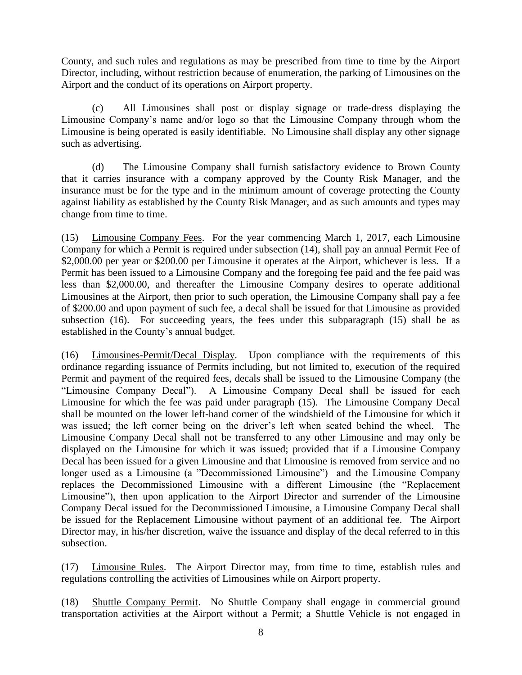County, and such rules and regulations as may be prescribed from time to time by the Airport Director, including, without restriction because of enumeration, the parking of Limousines on the Airport and the conduct of its operations on Airport property.

(c) All Limousines shall post or display signage or trade-dress displaying the Limousine Company's name and/or logo so that the Limousine Company through whom the Limousine is being operated is easily identifiable. No Limousine shall display any other signage such as advertising.

(d) The Limousine Company shall furnish satisfactory evidence to Brown County that it carries insurance with a company approved by the County Risk Manager, and the insurance must be for the type and in the minimum amount of coverage protecting the County against liability as established by the County Risk Manager, and as such amounts and types may change from time to time.

(15) Limousine Company Fees. For the year commencing March 1, 2017, each Limousine Company for which a Permit is required under subsection (14), shall pay an annual Permit Fee of \$2,000.00 per year or \$200.00 per Limousine it operates at the Airport, whichever is less. If a Permit has been issued to a Limousine Company and the foregoing fee paid and the fee paid was less than \$2,000.00, and thereafter the Limousine Company desires to operate additional Limousines at the Airport, then prior to such operation, the Limousine Company shall pay a fee of \$200.00 and upon payment of such fee, a decal shall be issued for that Limousine as provided subsection (16). For succeeding years, the fees under this subparagraph (15) shall be as established in the County's annual budget.

(16) Limousines-Permit/Decal Display. Upon compliance with the requirements of this ordinance regarding issuance of Permits including, but not limited to, execution of the required Permit and payment of the required fees, decals shall be issued to the Limousine Company (the "Limousine Company Decal"). A Limousine Company Decal shall be issued for each Limousine for which the fee was paid under paragraph (15). The Limousine Company Decal shall be mounted on the lower left-hand corner of the windshield of the Limousine for which it was issued; the left corner being on the driver's left when seated behind the wheel. The Limousine Company Decal shall not be transferred to any other Limousine and may only be displayed on the Limousine for which it was issued; provided that if a Limousine Company Decal has been issued for a given Limousine and that Limousine is removed from service and no longer used as a Limousine (a "Decommissioned Limousine") and the Limousine Company replaces the Decommissioned Limousine with a different Limousine (the "Replacement Limousine"), then upon application to the Airport Director and surrender of the Limousine Company Decal issued for the Decommissioned Limousine, a Limousine Company Decal shall be issued for the Replacement Limousine without payment of an additional fee. The Airport Director may, in his/her discretion, waive the issuance and display of the decal referred to in this subsection.

(17) Limousine Rules. The Airport Director may, from time to time, establish rules and regulations controlling the activities of Limousines while on Airport property.

(18) Shuttle Company Permit. No Shuttle Company shall engage in commercial ground transportation activities at the Airport without a Permit; a Shuttle Vehicle is not engaged in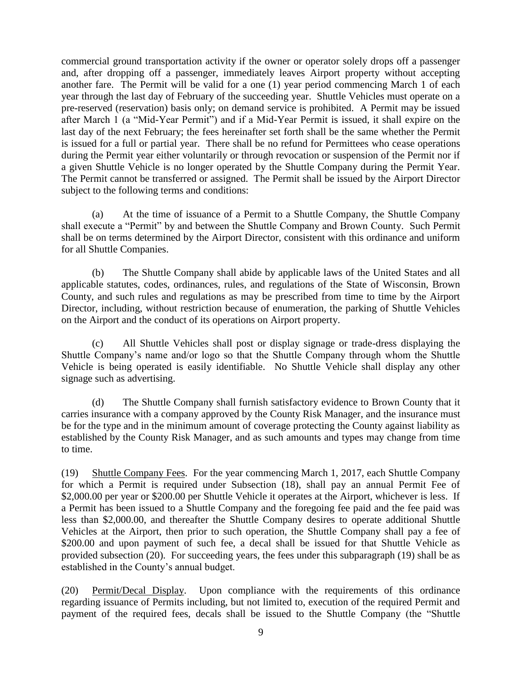commercial ground transportation activity if the owner or operator solely drops off a passenger and, after dropping off a passenger, immediately leaves Airport property without accepting another fare. The Permit will be valid for a one (1) year period commencing March 1 of each year through the last day of February of the succeeding year. Shuttle Vehicles must operate on a pre-reserved (reservation) basis only; on demand service is prohibited. A Permit may be issued after March 1 (a "Mid-Year Permit") and if a Mid-Year Permit is issued, it shall expire on the last day of the next February; the fees hereinafter set forth shall be the same whether the Permit is issued for a full or partial year. There shall be no refund for Permittees who cease operations during the Permit year either voluntarily or through revocation or suspension of the Permit nor if a given Shuttle Vehicle is no longer operated by the Shuttle Company during the Permit Year. The Permit cannot be transferred or assigned. The Permit shall be issued by the Airport Director subject to the following terms and conditions:

(a) At the time of issuance of a Permit to a Shuttle Company, the Shuttle Company shall execute a "Permit" by and between the Shuttle Company and Brown County. Such Permit shall be on terms determined by the Airport Director, consistent with this ordinance and uniform for all Shuttle Companies.

(b) The Shuttle Company shall abide by applicable laws of the United States and all applicable statutes, codes, ordinances, rules, and regulations of the State of Wisconsin, Brown County, and such rules and regulations as may be prescribed from time to time by the Airport Director, including, without restriction because of enumeration, the parking of Shuttle Vehicles on the Airport and the conduct of its operations on Airport property.

(c) All Shuttle Vehicles shall post or display signage or trade-dress displaying the Shuttle Company's name and/or logo so that the Shuttle Company through whom the Shuttle Vehicle is being operated is easily identifiable. No Shuttle Vehicle shall display any other signage such as advertising.

(d) The Shuttle Company shall furnish satisfactory evidence to Brown County that it carries insurance with a company approved by the County Risk Manager, and the insurance must be for the type and in the minimum amount of coverage protecting the County against liability as established by the County Risk Manager, and as such amounts and types may change from time to time.

(19) Shuttle Company Fees. For the year commencing March 1, 2017, each Shuttle Company for which a Permit is required under Subsection (18), shall pay an annual Permit Fee of \$2,000.00 per year or \$200.00 per Shuttle Vehicle it operates at the Airport, whichever is less. If a Permit has been issued to a Shuttle Company and the foregoing fee paid and the fee paid was less than \$2,000.00, and thereafter the Shuttle Company desires to operate additional Shuttle Vehicles at the Airport, then prior to such operation, the Shuttle Company shall pay a fee of \$200.00 and upon payment of such fee, a decal shall be issued for that Shuttle Vehicle as provided subsection (20). For succeeding years, the fees under this subparagraph (19) shall be as established in the County's annual budget.

(20) Permit/Decal Display. Upon compliance with the requirements of this ordinance regarding issuance of Permits including, but not limited to, execution of the required Permit and payment of the required fees, decals shall be issued to the Shuttle Company (the "Shuttle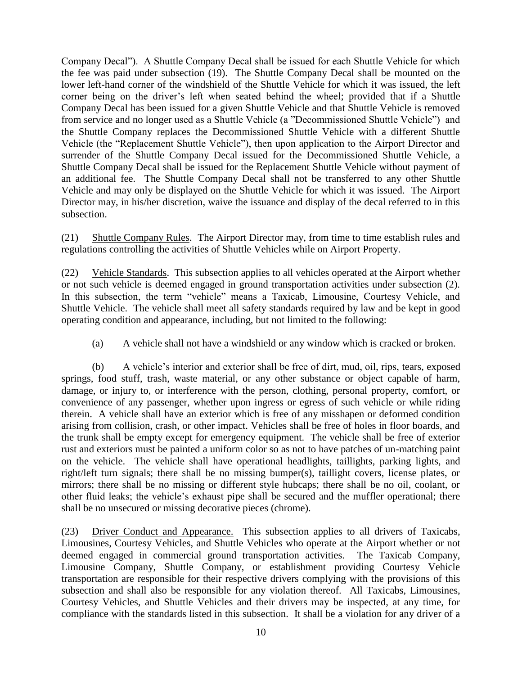Company Decal"). A Shuttle Company Decal shall be issued for each Shuttle Vehicle for which the fee was paid under subsection (19). The Shuttle Company Decal shall be mounted on the lower left-hand corner of the windshield of the Shuttle Vehicle for which it was issued, the left corner being on the driver's left when seated behind the wheel; provided that if a Shuttle Company Decal has been issued for a given Shuttle Vehicle and that Shuttle Vehicle is removed from service and no longer used as a Shuttle Vehicle (a "Decommissioned Shuttle Vehicle") and the Shuttle Company replaces the Decommissioned Shuttle Vehicle with a different Shuttle Vehicle (the "Replacement Shuttle Vehicle"), then upon application to the Airport Director and surrender of the Shuttle Company Decal issued for the Decommissioned Shuttle Vehicle, a Shuttle Company Decal shall be issued for the Replacement Shuttle Vehicle without payment of an additional fee. The Shuttle Company Decal shall not be transferred to any other Shuttle Vehicle and may only be displayed on the Shuttle Vehicle for which it was issued. The Airport Director may, in his/her discretion, waive the issuance and display of the decal referred to in this subsection.

(21) Shuttle Company Rules. The Airport Director may, from time to time establish rules and regulations controlling the activities of Shuttle Vehicles while on Airport Property.

(22) Vehicle Standards. This subsection applies to all vehicles operated at the Airport whether or not such vehicle is deemed engaged in ground transportation activities under subsection (2). In this subsection, the term "vehicle" means a Taxicab, Limousine, Courtesy Vehicle, and Shuttle Vehicle. The vehicle shall meet all safety standards required by law and be kept in good operating condition and appearance, including, but not limited to the following:

(a) A vehicle shall not have a windshield or any window which is cracked or broken.

(b) A vehicle's interior and exterior shall be free of dirt, mud, oil, rips, tears, exposed springs, food stuff, trash, waste material, or any other substance or object capable of harm, damage, or injury to, or interference with the person, clothing, personal property, comfort, or convenience of any passenger, whether upon ingress or egress of such vehicle or while riding therein. A vehicle shall have an exterior which is free of any misshapen or deformed condition arising from collision, crash, or other impact. Vehicles shall be free of holes in floor boards, and the trunk shall be empty except for emergency equipment. The vehicle shall be free of exterior rust and exteriors must be painted a uniform color so as not to have patches of un-matching paint on the vehicle. The vehicle shall have operational headlights, taillights, parking lights, and right/left turn signals; there shall be no missing bumper(s), taillight covers, license plates, or mirrors; there shall be no missing or different style hubcaps; there shall be no oil, coolant, or other fluid leaks; the vehicle's exhaust pipe shall be secured and the muffler operational; there shall be no unsecured or missing decorative pieces (chrome).

(23) Driver Conduct and Appearance. This subsection applies to all drivers of Taxicabs, Limousines, Courtesy Vehicles, and Shuttle Vehicles who operate at the Airport whether or not deemed engaged in commercial ground transportation activities. The Taxicab Company, Limousine Company, Shuttle Company, or establishment providing Courtesy Vehicle transportation are responsible for their respective drivers complying with the provisions of this subsection and shall also be responsible for any violation thereof. All Taxicabs, Limousines, Courtesy Vehicles, and Shuttle Vehicles and their drivers may be inspected, at any time, for compliance with the standards listed in this subsection. It shall be a violation for any driver of a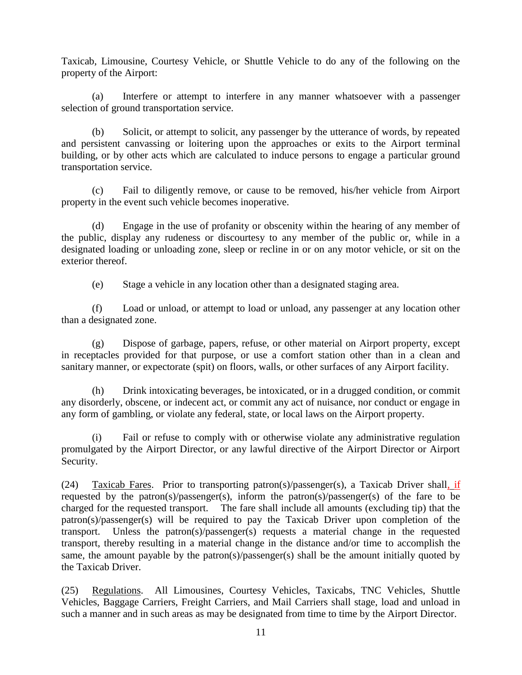Taxicab, Limousine, Courtesy Vehicle, or Shuttle Vehicle to do any of the following on the property of the Airport:

(a) Interfere or attempt to interfere in any manner whatsoever with a passenger selection of ground transportation service.

(b) Solicit, or attempt to solicit, any passenger by the utterance of words, by repeated and persistent canvassing or loitering upon the approaches or exits to the Airport terminal building, or by other acts which are calculated to induce persons to engage a particular ground transportation service.

(c) Fail to diligently remove, or cause to be removed, his/her vehicle from Airport property in the event such vehicle becomes inoperative.

(d) Engage in the use of profanity or obscenity within the hearing of any member of the public, display any rudeness or discourtesy to any member of the public or, while in a designated loading or unloading zone, sleep or recline in or on any motor vehicle, or sit on the exterior thereof.

(e) Stage a vehicle in any location other than a designated staging area.

(f) Load or unload, or attempt to load or unload, any passenger at any location other than a designated zone.

(g) Dispose of garbage, papers, refuse, or other material on Airport property, except in receptacles provided for that purpose, or use a comfort station other than in a clean and sanitary manner, or expectorate (spit) on floors, walls, or other surfaces of any Airport facility.

(h) Drink intoxicating beverages, be intoxicated, or in a drugged condition, or commit any disorderly, obscene, or indecent act, or commit any act of nuisance, nor conduct or engage in any form of gambling, or violate any federal, state, or local laws on the Airport property.

(i) Fail or refuse to comply with or otherwise violate any administrative regulation promulgated by the Airport Director, or any lawful directive of the Airport Director or Airport Security.

(24) Taxicab Fares. Prior to transporting patron(s)/passenger(s), a Taxicab Driver shall, if requested by the patron(s)/passenger(s), inform the patron(s)/passenger(s) of the fare to be charged for the requested transport. The fare shall include all amounts (excluding tip) that the patron(s)/passenger(s) will be required to pay the Taxicab Driver upon completion of the transport. Unless the patron(s)/passenger(s) requests a material change in the requested transport, thereby resulting in a material change in the distance and/or time to accomplish the same, the amount payable by the patron(s)/passenger(s) shall be the amount initially quoted by the Taxicab Driver.

(25) Regulations. All Limousines, Courtesy Vehicles, Taxicabs, TNC Vehicles, Shuttle Vehicles, Baggage Carriers, Freight Carriers, and Mail Carriers shall stage, load and unload in such a manner and in such areas as may be designated from time to time by the Airport Director.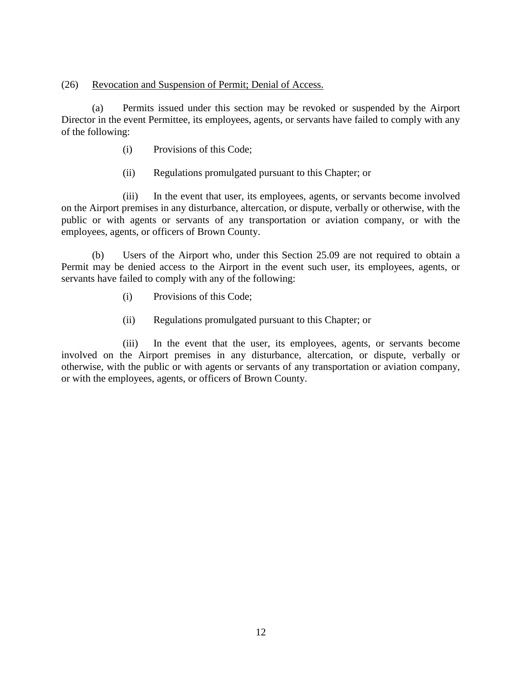### (26) Revocation and Suspension of Permit; Denial of Access.

(a) Permits issued under this section may be revoked or suspended by the Airport Director in the event Permittee, its employees, agents, or servants have failed to comply with any of the following:

- (i) Provisions of this Code;
- (ii) Regulations promulgated pursuant to this Chapter; or

(iii) In the event that user, its employees, agents, or servants become involved on the Airport premises in any disturbance, altercation, or dispute, verbally or otherwise, with the public or with agents or servants of any transportation or aviation company, or with the employees, agents, or officers of Brown County.

(b) Users of the Airport who, under this Section 25.09 are not required to obtain a Permit may be denied access to the Airport in the event such user, its employees, agents, or servants have failed to comply with any of the following:

- (i) Provisions of this Code;
- (ii) Regulations promulgated pursuant to this Chapter; or

(iii) In the event that the user, its employees, agents, or servants become involved on the Airport premises in any disturbance, altercation, or dispute, verbally or otherwise, with the public or with agents or servants of any transportation or aviation company, or with the employees, agents, or officers of Brown County.